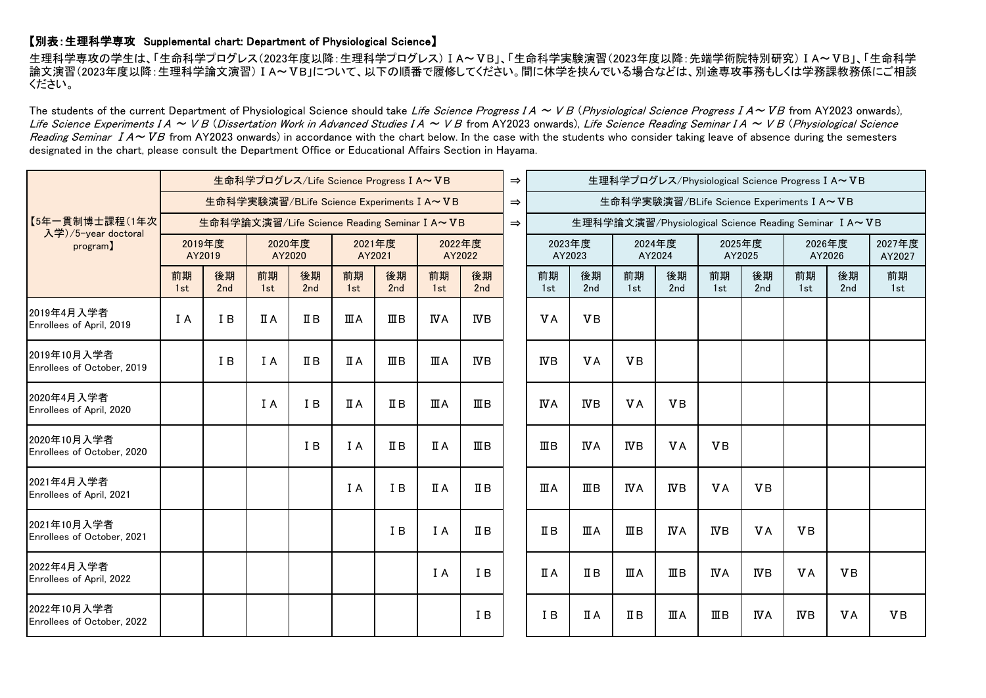## 【別表:生理科学専攻 Supplemental chart: Department of Physiological Science】

生理科学専攻の学生は、「生命科学プログレス(2023年度以降:生理科学プログレス)ⅠA~ⅤB」、「生命科学実験演習(2023年度以降:先端学術院特別研究)ⅠA~ⅤB」、「生命科学 論文演習(2023年度以降:生理科学論文演習)ⅠA~ⅤB」について、以下の順番で履修してください。間に休学を挟んでいる場合などは、別途専攻事務もしくは学務課教務係にご相談 ください。

The students of the current Department of Physiological Science should take Life Science Progress  $IA \sim VB$  (Physiological Science Progress  $IA \sim VB$  from AY2023 onwards), Life Science Experiments I A ~ V B (Dissertation Work in Advanced Studies I A ~ V B from AY2023 onwards), Life Science Reading Seminar I A ~ V B (Physiological Science Reading Seminar  $IA \sim VB$  from AY2023 onwards) in accordance with the chart below. In the case with the students who consider taking leave of absence during the semesters designated in the chart, please consult the Department Office or Educational Affairs Section in Hayama.

| 【5年一貫制博士課程(1年次<br>入学)/5-year doctoral<br>program) | 生命科学プログレス/Life Science Progress I A~VB       |           |                  |           |                  |                |                  |                   |  |                                                       |                |                  | 生理科学プログレス/Physiological Science Progress I A~VB |                                           |            |                  |           |                  |  |
|---------------------------------------------------|----------------------------------------------|-----------|------------------|-----------|------------------|----------------|------------------|-------------------|--|-------------------------------------------------------|----------------|------------------|-------------------------------------------------|-------------------------------------------|------------|------------------|-----------|------------------|--|
|                                                   | 生命科学実験演習/BLife Science Experiments I A~VB    |           |                  |           |                  |                |                  |                   |  |                                                       |                |                  |                                                 | 生命科学実験演習/BLife Science Experiments I A~VB |            |                  |           |                  |  |
|                                                   | 生命科学論文演習/Life Science Reading Seminar I A~VB |           |                  |           |                  |                |                  |                   |  | 生理科学論文演習/Physiological Science Reading Seminar I A~VB |                |                  |                                                 |                                           |            |                  |           |                  |  |
|                                                   | 2019年度<br>AY2019                             |           | 2020年度<br>AY2020 |           | 2021年度<br>AY2021 |                | 2022年度<br>AY2022 |                   |  | 2023年度<br>AY2023                                      |                | 2024年度<br>AY2024 |                                                 | 2025年度<br>AY2025                          |            | 2026年度<br>AY2026 |           | 2027年度<br>AY2027 |  |
|                                                   | 前期<br>1st                                    | 後期<br>2nd | 前期<br>1st        | 後期<br>2nd | 前期<br>1st        | 後期<br>2nd      | 前期<br>1st        | 後期<br>2nd         |  | 前期<br>1st                                             | 後期<br>2nd      | 前期<br>1st        | 後期<br>2nd                                       | 前期<br>1st                                 | 後期<br>2nd  | 前期<br>1st        | 後期<br>2nd | 前期<br>1st        |  |
| 2019年4月入学者<br>Enrollees of April, 2019            | I A                                          | I B       | ПA               | ΠВ        | ШA               | $\mathbb{I}$ B | ΝA               | ΝB                |  | <b>VA</b>                                             | <b>VB</b>      |                  |                                                 |                                           |            |                  |           |                  |  |
| 2019年10月入学者<br>Enrollees of October, 2019         |                                              | I B       | I A              | $I\!I B$  | ΠA               | ШΒ             | ШA               | ΝB                |  | $_{\text{WB}}$                                        | <b>VA</b>      | <b>VB</b>        |                                                 |                                           |            |                  |           |                  |  |
| 2020年4月入学者<br>Enrollees of April, 2020            |                                              |           | I A              | I B       | ΠA               | ΠB             | ШA               | ШΒ                |  | <b>IVA</b>                                            | ΝB             | <b>VA</b>        | <b>VB</b>                                       |                                           |            |                  |           |                  |  |
| 2020年10月入学者<br>Enrollees of October, 2020         |                                              |           |                  | I B       | I A              | $\mathbb{I}$ B | IΙA              | $\mathbf{I}$ II B |  | $\mathbb{I}$ B                                        | <b>IVA</b>     | <b>IVB</b>       | <b>VA</b>                                       | <b>VB</b>                                 |            |                  |           |                  |  |
| 2021年4月入学者<br>Enrollees of April, 2021            |                                              |           |                  |           | I A              | I B            | IΙA              | $I\!I B$          |  | ШA                                                    | $\mathbb{I}$ B | <b>IVA</b>       | <b>IVB</b>                                      | <b>VA</b>                                 | <b>VB</b>  |                  |           |                  |  |
| 2021年10月入学者<br>Enrollees of October, 2021         |                                              |           |                  |           |                  | I B            | I A              | $\mathbb{I}$ B    |  | $I\!I\!I$ B                                           | ШA             | $\mathbb{I}$ B   | <b>IVA</b>                                      | ΝB                                        | <b>VA</b>  | <b>VB</b>        |           |                  |  |
| 2022年4月入学者<br>Enrollees of April, 2022            |                                              |           |                  |           |                  |                | I A              | I B               |  | <b>ΠA</b>                                             | $\Pi$ B        | ШA               | ШB                                              | ΝA                                        | ΝB         | <b>VA</b>        | <b>VB</b> |                  |  |
| 2022年10月入学者<br>Enrollees of October, 2022         |                                              |           |                  |           |                  |                |                  | I B               |  | I B                                                   | ΠA             | ΠВ               | ШA                                              | ШB                                        | <b>IVA</b> | ΝB               | <b>VA</b> | <b>VB</b>        |  |